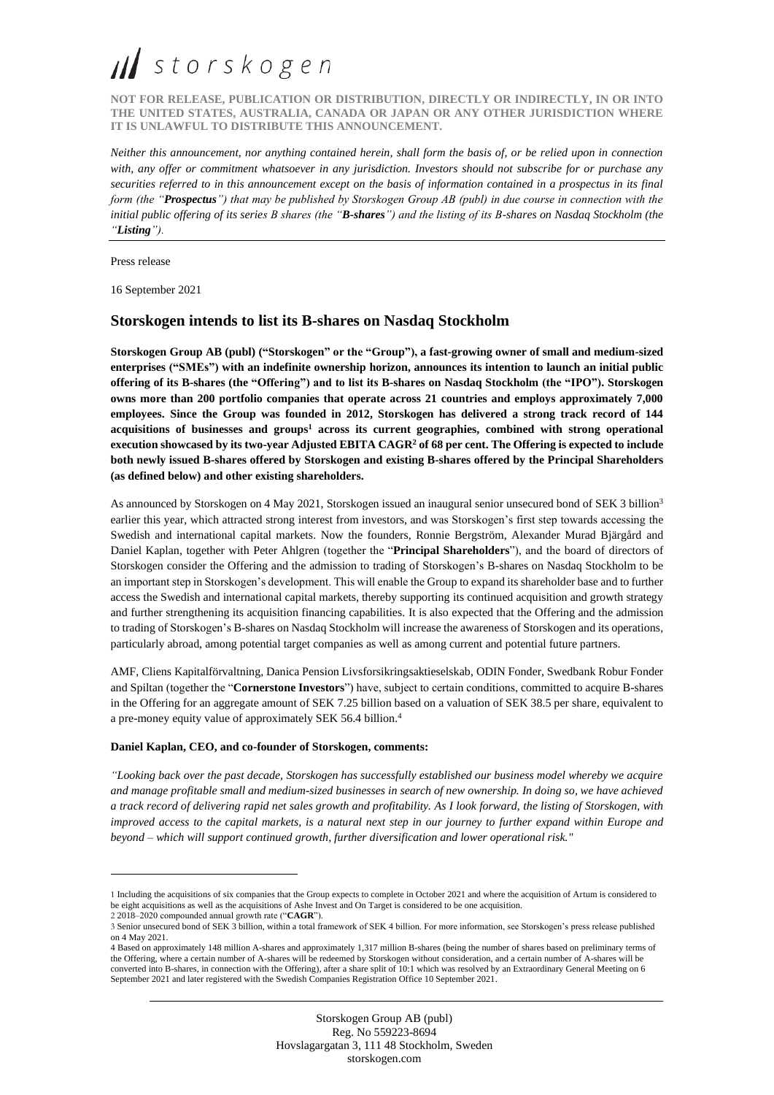**NOT FOR RELEASE, PUBLICATION OR DISTRIBUTION, DIRECTLY OR INDIRECTLY, IN OR INTO THE UNITED STATES, AUSTRALIA, CANADA OR JAPAN OR ANY OTHER JURISDICTION WHERE IT IS UNLAWFUL TO DISTRIBUTE THIS ANNOUNCEMENT.**

*Neither this announcement, nor anything contained herein, shall form the basis of, or be relied upon in connection with, any offer or commitment whatsoever in any jurisdiction. Investors should not subscribe for or purchase any securities referred to in this announcement except on the basis of information contained in a prospectus in its final form (the "Prospectus") that may be published by Storskogen Group AB (publ) in due course in connection with the initial public offering of its series B shares (the "B-shares") and the listing of its B-shares on Nasdaq Stockholm (the "Listing").* 

Press release

16 September 2021

### **Storskogen intends to list its B-shares on Nasdaq Stockholm**

**Storskogen Group AB (publ) ("Storskogen" or the "Group"), a fast-growing owner of small and medium-sized enterprises ("SMEs") with an indefinite ownership horizon, announces its intention to launch an initial public offering of its B-shares (the "Offering") and to list its B-shares on Nasdaq Stockholm (the "IPO"). Storskogen owns more than 200 portfolio companies that operate across 21 countries and employs approximately 7,000 employees. Since the Group was founded in 2012, Storskogen has delivered a strong track record of 144 acquisitions of businesses and groups<sup>1</sup> across its current geographies, combined with strong operational execution showcased by its two-year Adjusted EBITA CAGR<sup>2</sup> of 68 per cent. The Offering is expected to include both newly issued B-shares offered by Storskogen and existing B-shares offered by the Principal Shareholders (as defined below) and other existing shareholders.**

As announced by Storskogen on 4 May 2021, Storskogen issued an inaugural senior unsecured bond of SEK 3 billion<sup>3</sup> earlier this year, which attracted strong interest from investors, and was Storskogen's first step towards accessing the Swedish and international capital markets. Now the founders, Ronnie Bergström, Alexander Murad Bjärgård and Daniel Kaplan, together with Peter Ahlgren (together the "**Principal Shareholders**"), and the board of directors of Storskogen consider the Offering and the admission to trading of Storskogen's B-shares on Nasdaq Stockholm to be an important step in Storskogen's development. This will enable the Group to expand its shareholder base and to further access the Swedish and international capital markets, thereby supporting its continued acquisition and growth strategy and further strengthening its acquisition financing capabilities. It is also expected that the Offering and the admission to trading of Storskogen's B-shares on Nasdaq Stockholm will increase the awareness of Storskogen and its operations, particularly abroad, among potential target companies as well as among current and potential future partners.

AMF, Cliens Kapitalförvaltning, Danica Pension Livsforsikringsaktieselskab, ODIN Fonder, Swedbank Robur Fonder and Spiltan (together the "**Cornerstone Investors**") have, subject to certain conditions, committed to acquire B-shares in the Offering for an aggregate amount of SEK 7.25 billion based on a valuation of SEK 38.5 per share, equivalent to a pre-money equity value of approximately SEK 56.4 billion.<sup>4</sup>

### **Daniel Kaplan, CEO, and co-founder of Storskogen, comments:**

*"Looking back over the past decade, Storskogen has successfully established our business model whereby we acquire and manage profitable small and medium-sized businesses in search of new ownership. In doing so, we have achieved a track record of delivering rapid net sales growth and profitability. As I look forward, the listing of Storskogen, with improved access to the capital markets, is a natural next step in our journey to further expand within Europe and beyond – which will support continued growth, further diversification and lower operational risk."*

<sup>1</sup> Including the acquisitions of six companies that the Group expects to complete in October 2021 and where the acquisition of Artum is considered to be eight acquisitions as well as the acquisitions of Ashe Invest and On Target is considered to be one acquisition.

<sup>2</sup> 2018–2020 compounded annual growth rate ("**CAGR**").

<sup>3</sup> Senior unsecured bond of SEK 3 billion, within a total framework of SEK 4 billion. For more information, see Storskogen's press release published on 4 May 2021.

<sup>4</sup> Based on approximately 148 million A-shares and approximately 1,317 million B-shares (being the number of shares based on preliminary terms of the Offering, where a certain number of A-shares will be redeemed by Storskogen without consideration, and a certain number of A-shares will be converted into B-shares, in connection with the Offering), after a share split of 10:1 which was resolved by an Extraordinary General Meeting on 6 September 2021 and later registered with the Swedish Companies Registration Office 10 September 2021.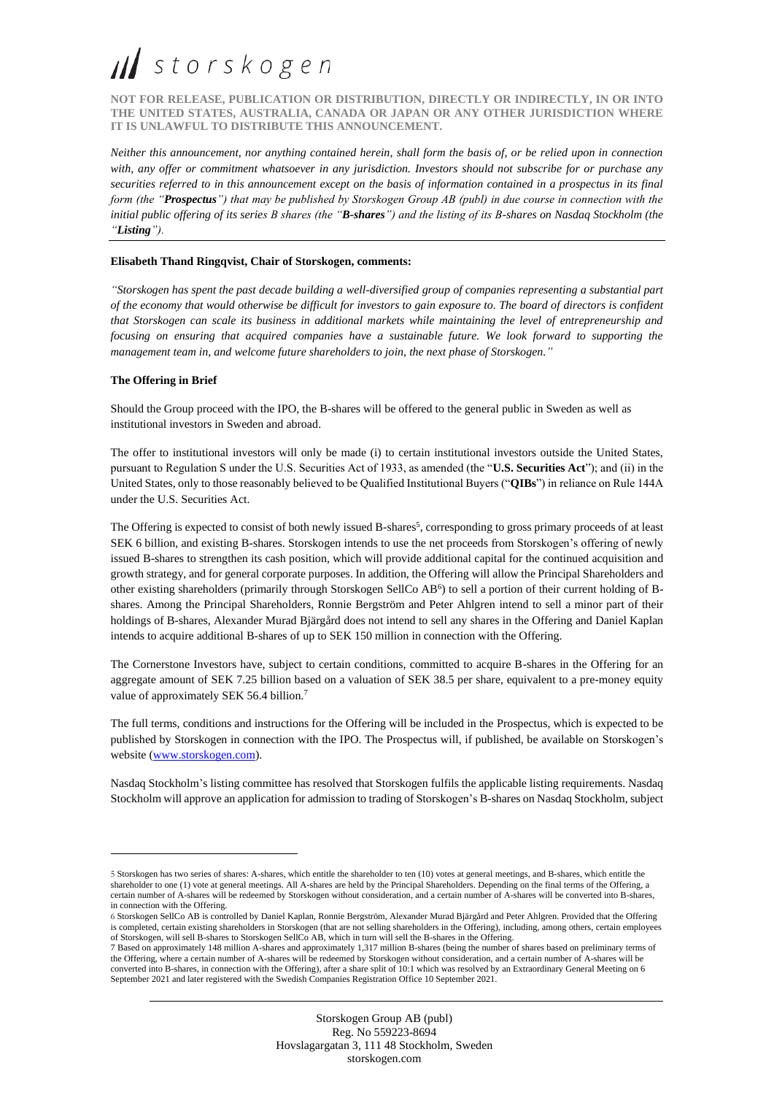**NOT FOR RELEASE, PUBLICATION OR DISTRIBUTION, DIRECTLY OR INDIRECTLY, IN OR INTO THE UNITED STATES, AUSTRALIA, CANADA OR JAPAN OR ANY OTHER JURISDICTION WHERE IT IS UNLAWFUL TO DISTRIBUTE THIS ANNOUNCEMENT.**

*Neither this announcement, nor anything contained herein, shall form the basis of, or be relied upon in connection with, any offer or commitment whatsoever in any jurisdiction. Investors should not subscribe for or purchase any securities referred to in this announcement except on the basis of information contained in a prospectus in its final form (the "Prospectus") that may be published by Storskogen Group AB (publ) in due course in connection with the initial public offering of its series B shares (the "B-shares") and the listing of its B-shares on Nasdaq Stockholm (the "Listing").* 

#### **Elisabeth Thand Ringqvist, Chair of Storskogen, comments:**

*"Storskogen has spent the past decade building a well-diversified group of companies representing a substantial part of the economy that would otherwise be difficult for investors to gain exposure to. The board of directors is confident that Storskogen can scale its business in additional markets while maintaining the level of entrepreneurship and focusing on ensuring that acquired companies have a sustainable future. We look forward to supporting the management team in, and welcome future shareholders to join, the next phase of Storskogen."*

#### **The Offering in Brief**

Should the Group proceed with the IPO, the B-shares will be offered to the general public in Sweden as well as institutional investors in Sweden and abroad.

The offer to institutional investors will only be made (i) to certain institutional investors outside the United States, pursuant to Regulation S under the U.S. Securities Act of 1933, as amended (the "**U.S. Securities Act**"); and (ii) in the United States, only to those reasonably believed to be Qualified Institutional Buyers ("**QIBs**") in reliance on Rule 144A under the U.S. Securities Act.

The Offering is expected to consist of both newly issued B-shares<sup>5</sup>, corresponding to gross primary proceeds of at least SEK 6 billion, and existing B-shares. Storskogen intends to use the net proceeds from Storskogen's offering of newly issued B-shares to strengthen its cash position, which will provide additional capital for the continued acquisition and growth strategy, and for general corporate purposes. In addition, the Offering will allow the Principal Shareholders and other existing shareholders (primarily through Storskogen SellCo AB<sup>6</sup>) to sell a portion of their current holding of Bshares. Among the Principal Shareholders, Ronnie Bergström and Peter Ahlgren intend to sell a minor part of their holdings of B-shares, Alexander Murad Bjärgård does not intend to sell any shares in the Offering and Daniel Kaplan intends to acquire additional B-shares of up to SEK 150 million in connection with the Offering.

The Cornerstone Investors have, subject to certain conditions, committed to acquire B-shares in the Offering for an aggregate amount of SEK 7.25 billion based on a valuation of SEK 38.5 per share, equivalent to a pre-money equity value of approximately SEK 56.4 billion.<sup>7</sup>

The full terms, conditions and instructions for the Offering will be included in the Prospectus, which is expected to be published by Storskogen in connection with the IPO. The Prospectus will, if published, be available on Storskogen's website [\(www.storskogen.com\)](http://www.storskogen.com/).

Nasdaq Stockholm's listing committee has resolved that Storskogen fulfils the applicable listing requirements. Nasdaq Stockholm will approve an application for admission to trading of Storskogen's B-shares on Nasdaq Stockholm, subject

<sup>5</sup> Storskogen has two series of shares: A-shares, which entitle the shareholder to ten (10) votes at general meetings, and B-shares, which entitle the shareholder to one (1) vote at general meetings. All A-shares are held by the Principal Shareholders. Depending on the final terms of the Offering, a certain number of A-shares will be redeemed by Storskogen without consideration, and a certain number of A-shares will be converted into B-shares, in connection with the Offering.

<sup>6</sup> Storskogen SellCo AB is controlled by Daniel Kaplan, Ronnie Bergström, Alexander Murad Bjärgård and Peter Ahlgren. Provided that the Offering is completed, certain existing shareholders in Storskogen (that are not selling shareholders in the Offering), including, among others, certain employees of Storskogen, will sell B-shares to Storskogen SellCo AB, which in turn will sell the B-shares in the Offering.

<sup>7</sup> Based on approximately 148 million A-shares and approximately 1,317 million B-shares (being the number of shares based on preliminary terms of the Offering, where a certain number of A-shares will be redeemed by Storskogen without consideration, and a certain number of A-shares will be converted into B-shares, in connection with the Offering), after a share split of 10:1 which was resolved by an Extraordinary General Meeting on 6 September 2021 and later registered with the Swedish Companies Registration Office 10 September 2021.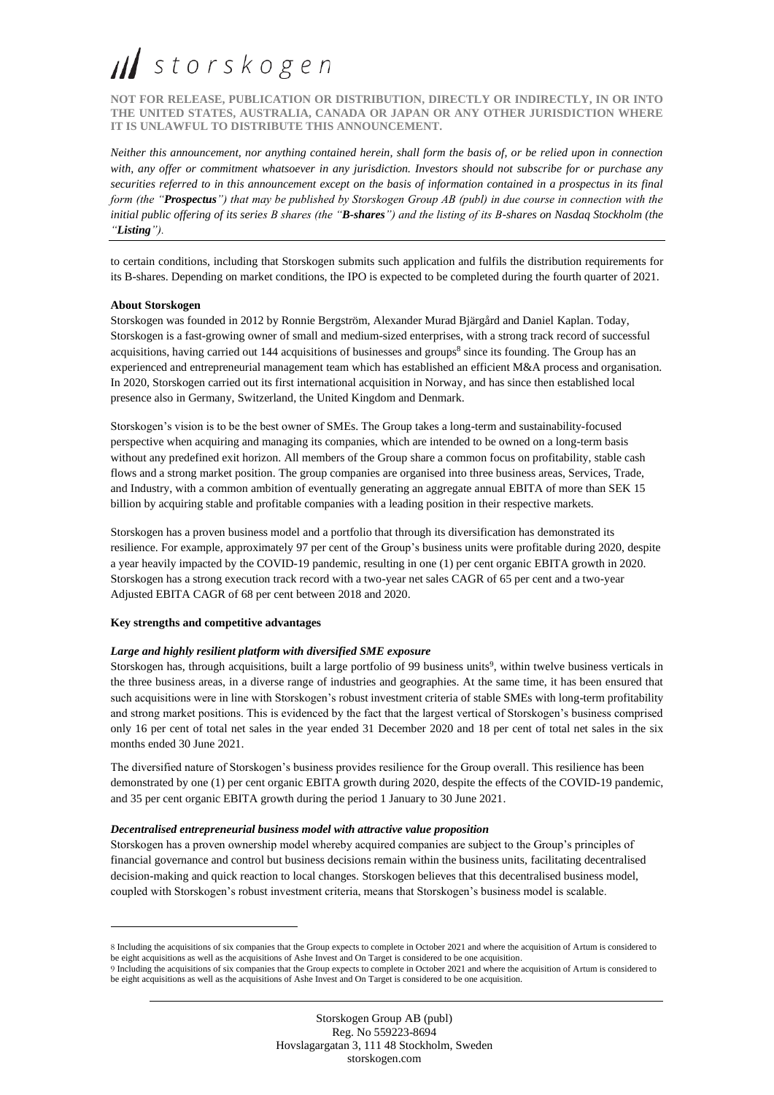**NOT FOR RELEASE, PUBLICATION OR DISTRIBUTION, DIRECTLY OR INDIRECTLY, IN OR INTO THE UNITED STATES, AUSTRALIA, CANADA OR JAPAN OR ANY OTHER JURISDICTION WHERE IT IS UNLAWFUL TO DISTRIBUTE THIS ANNOUNCEMENT.**

*Neither this announcement, nor anything contained herein, shall form the basis of, or be relied upon in connection*  with, any offer or commitment whatsoever in any jurisdiction. Investors should not subscribe for or purchase any *securities referred to in this announcement except on the basis of information contained in a prospectus in its final form (the "Prospectus") that may be published by Storskogen Group AB (publ) in due course in connection with the initial public offering of its series B shares (the "B-shares") and the listing of its B-shares on Nasdaq Stockholm (the "Listing").* 

to certain conditions, including that Storskogen submits such application and fulfils the distribution requirements for its B-shares. Depending on market conditions, the IPO is expected to be completed during the fourth quarter of 2021.

### **About Storskogen**

Storskogen was founded in 2012 by Ronnie Bergström, Alexander Murad Bjärgård and Daniel Kaplan. Today, Storskogen is a fast-growing owner of small and medium-sized enterprises, with a strong track record of successful acquisitions, having carried out 144 acquisitions of businesses and groups<sup>8</sup> since its founding. The Group has an experienced and entrepreneurial management team which has established an efficient M&A process and organisation. In 2020, Storskogen carried out its first international acquisition in Norway, and has since then established local presence also in Germany, Switzerland, the United Kingdom and Denmark.

Storskogen's vision is to be the best owner of SMEs. The Group takes a long-term and sustainability-focused perspective when acquiring and managing its companies, which are intended to be owned on a long-term basis without any predefined exit horizon. All members of the Group share a common focus on profitability, stable cash flows and a strong market position. The group companies are organised into three business areas, Services, Trade, and Industry, with a common ambition of eventually generating an aggregate annual EBITA of more than SEK 15 billion by acquiring stable and profitable companies with a leading position in their respective markets.

Storskogen has a proven business model and a portfolio that through its diversification has demonstrated its resilience. For example, approximately 97 per cent of the Group's business units were profitable during 2020, despite a year heavily impacted by the COVID-19 pandemic, resulting in one (1) per cent organic EBITA growth in 2020. Storskogen has a strong execution track record with a two-year net sales CAGR of 65 per cent and a two-year Adjusted EBITA CAGR of 68 per cent between 2018 and 2020.

#### **Key strengths and competitive advantages**

#### *Large and highly resilient platform with diversified SME exposure*

Storskogen has, through acquisitions, built a large portfolio of 99 business units<sup>9</sup>, within twelve business verticals in the three business areas, in a diverse range of industries and geographies. At the same time, it has been ensured that such acquisitions were in line with Storskogen's robust investment criteria of stable SMEs with long-term profitability and strong market positions. This is evidenced by the fact that the largest vertical of Storskogen's business comprised only 16 per cent of total net sales in the year ended 31 December 2020 and 18 per cent of total net sales in the six months ended 30 June 2021.

The diversified nature of Storskogen's business provides resilience for the Group overall. This resilience has been demonstrated by one (1) per cent organic EBITA growth during 2020, despite the effects of the COVID-19 pandemic, and 35 per cent organic EBITA growth during the period 1 January to 30 June 2021.

### *Decentralised entrepreneurial business model with attractive value proposition*

Storskogen has a proven ownership model whereby acquired companies are subject to the Group's principles of financial governance and control but business decisions remain within the business units, facilitating decentralised decision-making and quick reaction to local changes. Storskogen believes that this decentralised business model, coupled with Storskogen's robust investment criteria, means that Storskogen's business model is scalable.

<sup>8</sup> Including the acquisitions of six companies that the Group expects to complete in October 2021 and where the acquisition of Artum is considered to be eight acquisitions as well as the acquisitions of Ashe Invest and On Target is considered to be one acquisition.

<sup>9</sup> Including the acquisitions of six companies that the Group expects to complete in October 2021 and where the acquisition of Artum is considered to be eight acquisitions as well as the acquisitions of Ashe Invest and On Target is considered to be one acquisition.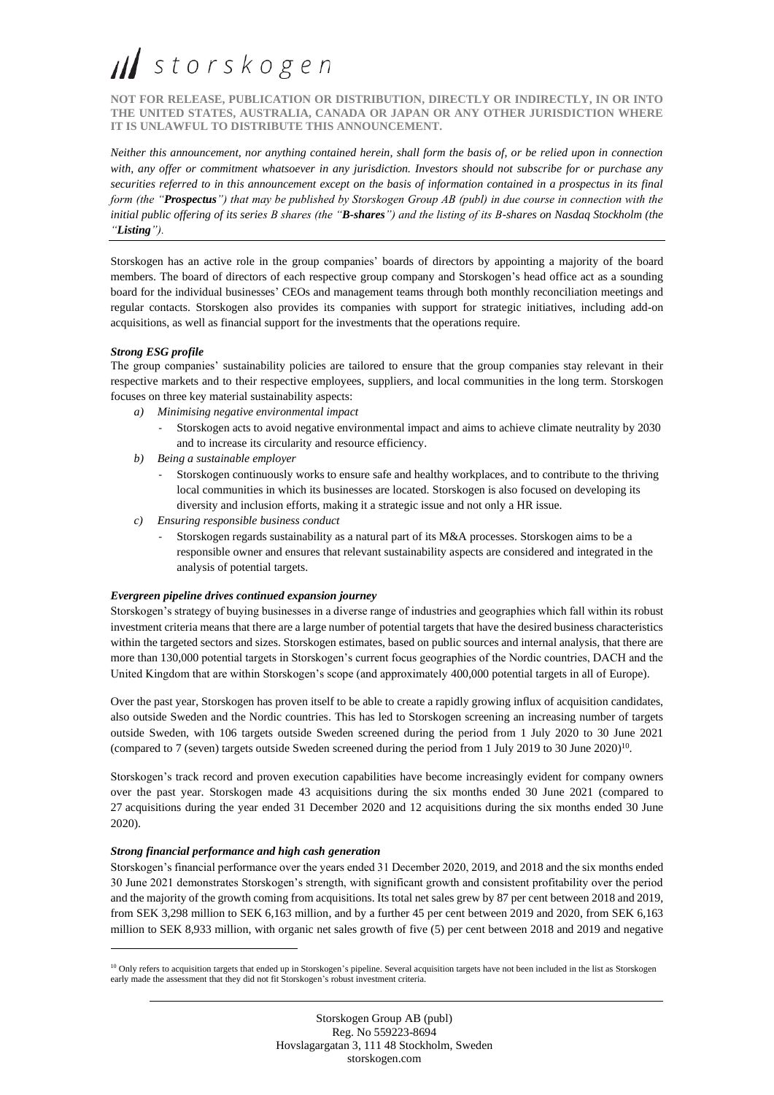**NOT FOR RELEASE, PUBLICATION OR DISTRIBUTION, DIRECTLY OR INDIRECTLY, IN OR INTO THE UNITED STATES, AUSTRALIA, CANADA OR JAPAN OR ANY OTHER JURISDICTION WHERE IT IS UNLAWFUL TO DISTRIBUTE THIS ANNOUNCEMENT.**

*Neither this announcement, nor anything contained herein, shall form the basis of, or be relied upon in connection*  with, any offer or commitment whatsoever in any jurisdiction. Investors should not subscribe for or purchase any *securities referred to in this announcement except on the basis of information contained in a prospectus in its final form (the "Prospectus") that may be published by Storskogen Group AB (publ) in due course in connection with the initial public offering of its series B shares (the "B-shares") and the listing of its B-shares on Nasdaq Stockholm (the "Listing").* 

Storskogen has an active role in the group companies' boards of directors by appointing a majority of the board members. The board of directors of each respective group company and Storskogen's head office act as a sounding board for the individual businesses' CEOs and management teams through both monthly reconciliation meetings and regular contacts. Storskogen also provides its companies with support for strategic initiatives, including add-on acquisitions, as well as financial support for the investments that the operations require.

### *Strong ESG profile*

The group companies' sustainability policies are tailored to ensure that the group companies stay relevant in their respective markets and to their respective employees, suppliers, and local communities in the long term. Storskogen focuses on three key material sustainability aspects:

- *a) Minimising negative environmental impact*
	- Storskogen acts to avoid negative environmental impact and aims to achieve climate neutrality by 2030 and to increase its circularity and resource efficiency.
- *b) Being a sustainable employer*
	- Storskogen continuously works to ensure safe and healthy workplaces, and to contribute to the thriving local communities in which its businesses are located. Storskogen is also focused on developing its diversity and inclusion efforts, making it a strategic issue and not only a HR issue.
- *c) Ensuring responsible business conduct*
	- Storskogen regards sustainability as a natural part of its M&A processes. Storskogen aims to be a responsible owner and ensures that relevant sustainability aspects are considered and integrated in the analysis of potential targets.

### *Evergreen pipeline drives continued expansion journey*

Storskogen's strategy of buying businesses in a diverse range of industries and geographies which fall within its robust investment criteria means that there are a large number of potential targets that have the desired business characteristics within the targeted sectors and sizes. Storskogen estimates, based on public sources and internal analysis, that there are more than 130,000 potential targets in Storskogen's current focus geographies of the Nordic countries, DACH and the United Kingdom that are within Storskogen's scope (and approximately 400,000 potential targets in all of Europe).

Over the past year, Storskogen has proven itself to be able to create a rapidly growing influx of acquisition candidates, also outside Sweden and the Nordic countries. This has led to Storskogen screening an increasing number of targets outside Sweden, with 106 targets outside Sweden screened during the period from 1 July 2020 to 30 June 2021 (compared to 7 (seven) targets outside Sweden screened during the period from 1 July 2019 to 30 June 2020)<sup>10</sup>.

Storskogen's track record and proven execution capabilities have become increasingly evident for company owners over the past year. Storskogen made 43 acquisitions during the six months ended 30 June 2021 (compared to 27 acquisitions during the year ended 31 December 2020 and 12 acquisitions during the six months ended 30 June 2020).

### *Strong financial performance and high cash generation*

Storskogen's financial performance over the years ended 31 December 2020, 2019, and 2018 and the six months ended 30 June 2021 demonstrates Storskogen's strength, with significant growth and consistent profitability over the period and the majority of the growth coming from acquisitions. Its total net sales grew by 87 per cent between 2018 and 2019, from SEK 3,298 million to SEK 6,163 million, and by a further 45 per cent between 2019 and 2020, from SEK 6,163 million to SEK 8,933 million, with organic net sales growth of five (5) per cent between 2018 and 2019 and negative

<sup>&</sup>lt;sup>10</sup> Only refers to acquisition targets that ended up in Storskogen's pipeline. Several acquisition targets have not been included in the list as Storskogen early made the assessment that they did not fit Storskogen's robust investment criteria.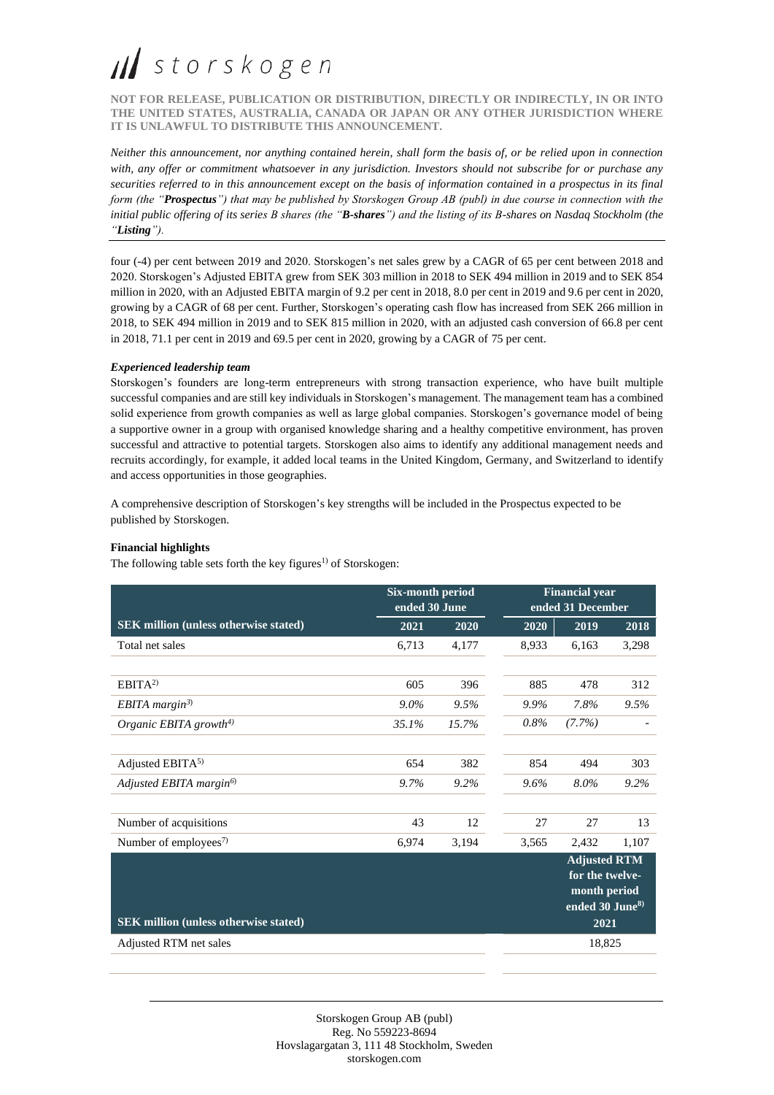**NOT FOR RELEASE, PUBLICATION OR DISTRIBUTION, DIRECTLY OR INDIRECTLY, IN OR INTO THE UNITED STATES, AUSTRALIA, CANADA OR JAPAN OR ANY OTHER JURISDICTION WHERE IT IS UNLAWFUL TO DISTRIBUTE THIS ANNOUNCEMENT.**

*Neither this announcement, nor anything contained herein, shall form the basis of, or be relied upon in connection*  with, any offer or commitment whatsoever in any jurisdiction. Investors should not subscribe for or purchase any *securities referred to in this announcement except on the basis of information contained in a prospectus in its final form (the "Prospectus") that may be published by Storskogen Group AB (publ) in due course in connection with the initial public offering of its series B shares (the "B-shares") and the listing of its B-shares on Nasdaq Stockholm (the "Listing").* 

four (-4) per cent between 2019 and 2020. Storskogen's net sales grew by a CAGR of 65 per cent between 2018 and 2020. Storskogen's Adjusted EBITA grew from SEK 303 million in 2018 to SEK 494 million in 2019 and to SEK 854 million in 2020, with an Adjusted EBITA margin of 9.2 per cent in 2018, 8.0 per cent in 2019 and 9.6 per cent in 2020, growing by a CAGR of 68 per cent. Further, Storskogen's operating cash flow has increased from SEK 266 million in 2018, to SEK 494 million in 2019 and to SEK 815 million in 2020, with an adjusted cash conversion of 66.8 per cent in 2018, 71.1 per cent in 2019 and 69.5 per cent in 2020, growing by a CAGR of 75 per cent.

### *Experienced leadership team*

Storskogen's founders are long-term entrepreneurs with strong transaction experience, who have built multiple successful companies and are still key individuals in Storskogen's management. The management team has a combined solid experience from growth companies as well as large global companies. Storskogen's governance model of being a supportive owner in a group with organised knowledge sharing and a healthy competitive environment, has proven successful and attractive to potential targets. Storskogen also aims to identify any additional management needs and recruits accordingly, for example, it added local teams in the United Kingdom, Germany, and Switzerland to identify and access opportunities in those geographies.

A comprehensive description of Storskogen's key strengths will be included in the Prospectus expected to be published by Storskogen.

### **Financial highlights**

The following table sets forth the key figures<sup>1)</sup> of Storskogen:

|                                              | <b>Six-month period</b><br>ended 30 June |       | <b>Financial year</b><br>ended 31 December |                                                                                               |       |
|----------------------------------------------|------------------------------------------|-------|--------------------------------------------|-----------------------------------------------------------------------------------------------|-------|
| <b>SEK million (unless otherwise stated)</b> | 2021                                     | 2020  | 2020                                       | 2019                                                                                          | 2018  |
| Total net sales                              | 6,713                                    | 4,177 | 8,933                                      | 6,163                                                                                         | 3,298 |
|                                              |                                          |       |                                            |                                                                                               |       |
| EBITA <sup>2</sup>                           | 605                                      | 396   | 885                                        | 478                                                                                           | 312   |
| EBITA margin $3$                             | $9.0\%$                                  | 9.5%  | 9.9%                                       | 7.8%                                                                                          | 9.5%  |
| Organic EBITA growth <sup>4)</sup>           | 35.1%                                    | 15.7% | 0.8%                                       | $(7.7\%)$                                                                                     |       |
| Adjusted EBITA <sup>5)</sup>                 | 654                                      | 382   | 854                                        | 494                                                                                           | 303   |
|                                              |                                          |       |                                            |                                                                                               |       |
| Adjusted EBITA margin <sup>6)</sup>          | 9.7%                                     | 9.2%  | 9.6%                                       | 8.0%                                                                                          | 9.2%  |
| Number of acquisitions                       | 43                                       | 12    | 27                                         | 27                                                                                            | 13    |
| Number of employees <sup>7)</sup>            | 6,974                                    | 3,194 | 3,565                                      | 2,432                                                                                         | 1,107 |
| <b>SEK</b> million (unless otherwise stated) |                                          |       |                                            | <b>Adjusted RTM</b><br>for the twelve-<br>month period<br>ended 30 June <sup>8)</sup><br>2021 |       |
| Adjusted RTM net sales                       |                                          |       | 18,825                                     |                                                                                               |       |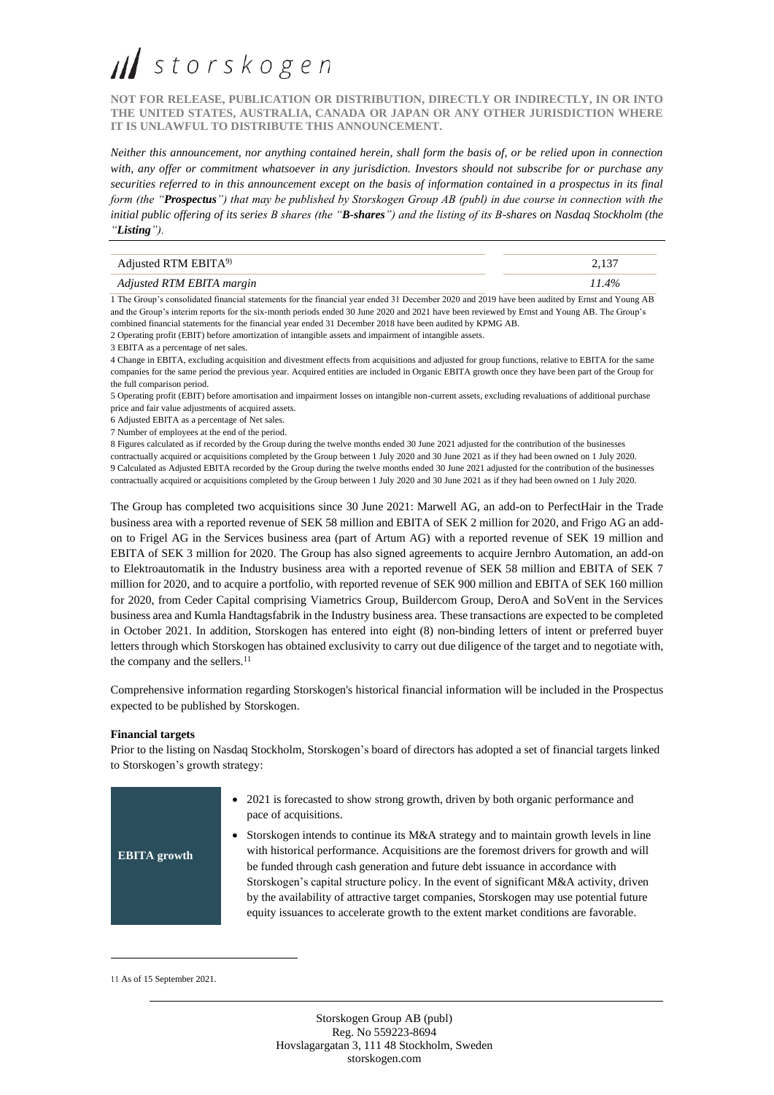**NOT FOR RELEASE, PUBLICATION OR DISTRIBUTION, DIRECTLY OR INDIRECTLY, IN OR INTO THE UNITED STATES, AUSTRALIA, CANADA OR JAPAN OR ANY OTHER JURISDICTION WHERE IT IS UNLAWFUL TO DISTRIBUTE THIS ANNOUNCEMENT.**

*Neither this announcement, nor anything contained herein, shall form the basis of, or be relied upon in connection with, any offer or commitment whatsoever in any jurisdiction. Investors should not subscribe for or purchase any securities referred to in this announcement except on the basis of information contained in a prospectus in its final form (the "Prospectus") that may be published by Storskogen Group AB (publ) in due course in connection with the initial public offering of its series B shares (the "B-shares") and the listing of its B-shares on Nasdaq Stockholm (the "Listing").* 

| Adjusted RTM EBITA <sup>9)</sup> | 2,137    |
|----------------------------------|----------|
| Adjusted RTM EBITA margin        | $11.4\%$ |

1 The Group's consolidated financial statements for the financial year ended 31 December 2020 and 2019 have been audited by Ernst and Young AB and the Group's interim reports for the six-month periods ended 30 June 2020 and 2021 have been reviewed by Ernst and Young AB. The Group's combined financial statements for the financial year ended 31 December 2018 have been audited by KPMG AB.

2 Operating profit (EBIT) before amortization of intangible assets and impairment of intangible assets.

4 Change in EBITA, excluding acquisition and divestment effects from acquisitions and adjusted for group functions, relative to EBITA for the same companies for the same period the previous year. Acquired entities are included in Organic EBITA growth once they have been part of the Group for the full comparison period.

5 Operating profit (EBIT) before amortisation and impairment losses on intangible non-current assets, excluding revaluations of additional purchase price and fair value adjustments of acquired assets.

6 Adjusted EBITA as a percentage of Net sales.

7 Number of employees at the end of the period.

8 Figures calculated as if recorded by the Group during the twelve months ended 30 June 2021 adjusted for the contribution of the businesses contractually acquired or acquisitions completed by the Group between 1 July 2020 and 30 June 2021 as if they had been owned on 1 July 2020. 9 Calculated as Adjusted EBITA recorded by the Group during the twelve months ended 30 June 2021 adjusted for the contribution of the businesses contractually acquired or acquisitions completed by the Group between 1 July 2020 and 30 June 2021 as if they had been owned on 1 July 2020.

The Group has completed two acquisitions since 30 June 2021: Marwell AG, an add-on to PerfectHair in the Trade business area with a reported revenue of SEK 58 million and EBITA of SEK 2 million for 2020, and Frigo AG an addon to Frigel AG in the Services business area (part of Artum AG) with a reported revenue of SEK 19 million and EBITA of SEK 3 million for 2020. The Group has also signed agreements to acquire Jernbro Automation, an add-on to Elektroautomatik in the Industry business area with a reported revenue of SEK 58 million and EBITA of SEK 7 million for 2020, and to acquire a portfolio, with reported revenue of SEK 900 million and EBITA of SEK 160 million for 2020, from Ceder Capital comprising Viametrics Group, Buildercom Group, DeroA and SoVent in the Services business area and Kumla Handtagsfabrik in the Industry business area. These transactions are expected to be completed in October 2021. In addition, Storskogen has entered into eight (8) non-binding letters of intent or preferred buyer letters through which Storskogen has obtained exclusivity to carry out due diligence of the target and to negotiate with, the company and the sellers.<sup>11</sup>

Comprehensive information regarding Storskogen's historical financial information will be included in the Prospectus expected to be published by Storskogen.

#### **Financial targets**

Prior to the listing on Nasdaq Stockholm, Storskogen's board of directors has adopted a set of financial targets linked to Storskogen's growth strategy:



<sup>11</sup> As of 15 September 2021.

<sup>3</sup> EBITA as a percentage of net sales.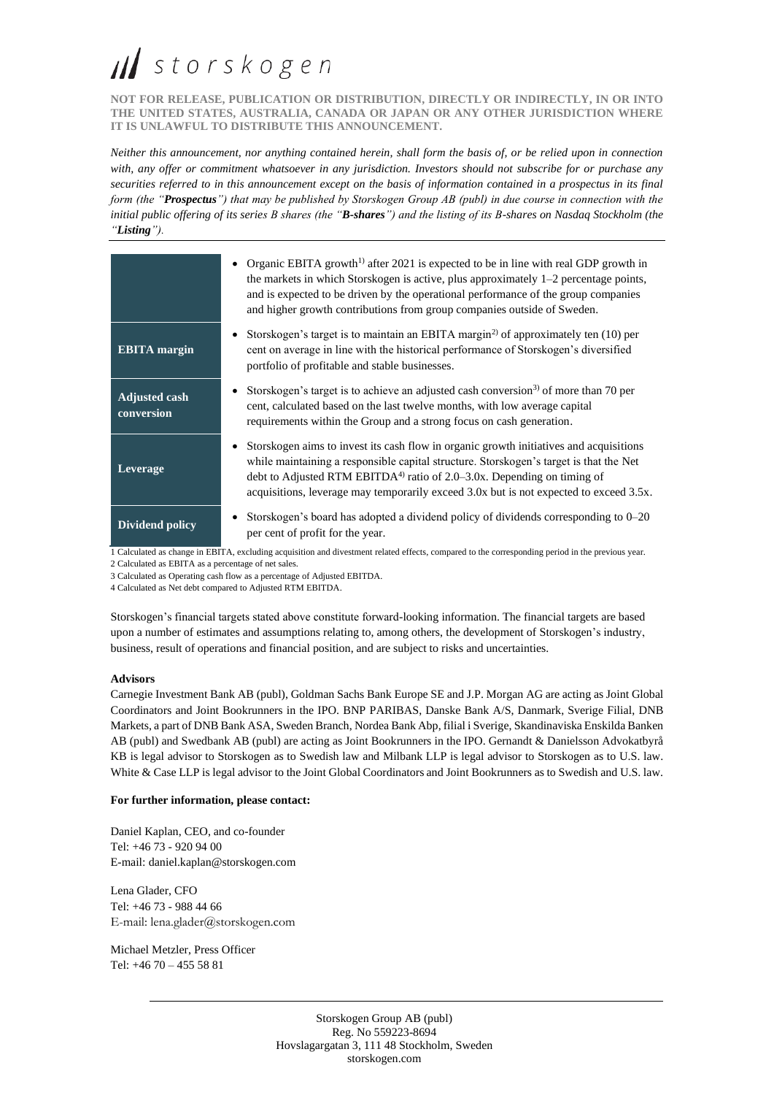**NOT FOR RELEASE, PUBLICATION OR DISTRIBUTION, DIRECTLY OR INDIRECTLY, IN OR INTO THE UNITED STATES, AUSTRALIA, CANADA OR JAPAN OR ANY OTHER JURISDICTION WHERE IT IS UNLAWFUL TO DISTRIBUTE THIS ANNOUNCEMENT.**

*Neither this announcement, nor anything contained herein, shall form the basis of, or be relied upon in connection*  with, any offer or commitment whatsoever in any jurisdiction. Investors should not subscribe for or purchase any *securities referred to in this announcement except on the basis of information contained in a prospectus in its final form (the "Prospectus") that may be published by Storskogen Group AB (publ) in due course in connection with the initial public offering of its series B shares (the "B-shares") and the listing of its B-shares on Nasdaq Stockholm (the "Listing").* 

|                                    | Organic EBITA growth <sup>1)</sup> after 2021 is expected to be in line with real GDP growth in<br>the markets in which Storskogen is active, plus approximately $1-2$ percentage points,<br>and is expected to be driven by the operational performance of the group companies<br>and higher growth contributions from group companies outside of Sweden.        |
|------------------------------------|-------------------------------------------------------------------------------------------------------------------------------------------------------------------------------------------------------------------------------------------------------------------------------------------------------------------------------------------------------------------|
| <b>EBITA</b> margin                | Storskogen's target is to maintain an EBITA margin <sup>2)</sup> of approximately ten $(10)$ per<br>cent on average in line with the historical performance of Storskogen's diversified<br>portfolio of profitable and stable businesses.                                                                                                                         |
| <b>Adjusted cash</b><br>conversion | Storskogen's target is to achieve an adjusted cash conversion <sup>3</sup> of more than 70 per<br>cent, calculated based on the last twelve months, with low average capital<br>requirements within the Group and a strong focus on cash generation.                                                                                                              |
| Leverage                           | Storskogen aims to invest its cash flow in organic growth initiatives and acquisitions<br>while maintaining a responsible capital structure. Storskogen's target is that the Net<br>debt to Adjusted RTM EBITDA <sup>4)</sup> ratio of 2.0–3.0x. Depending on timing of<br>acquisitions, leverage may temporarily exceed 3.0x but is not expected to exceed 3.5x. |
| Dividend policy                    | Storskogen's board has adopted a dividend policy of dividends corresponding to $0-20$<br>per cent of profit for the year.                                                                                                                                                                                                                                         |

1 Calculated as change in EBITA, excluding acquisition and divestment related effects, compared to the corresponding period in the previous year. 2 Calculated as EBITA as a percentage of net sales.

3 Calculated as Operating cash flow as a percentage of Adjusted EBITDA.

4 Calculated as Net debt compared to Adjusted RTM EBITDA.

Storskogen's financial targets stated above constitute forward-looking information. The financial targets are based upon a number of estimates and assumptions relating to, among others, the development of Storskogen's industry, business, result of operations and financial position, and are subject to risks and uncertainties.

### **Advisors**

Carnegie Investment Bank AB (publ), Goldman Sachs Bank Europe SE and J.P. Morgan AG are acting as Joint Global Coordinators and Joint Bookrunners in the IPO. BNP PARIBAS, Danske Bank A/S, Danmark, Sverige Filial, DNB Markets, a part of DNB Bank ASA, Sweden Branch, Nordea Bank Abp, filial i Sverige, Skandinaviska Enskilda Banken AB (publ) and Swedbank AB (publ) are acting as Joint Bookrunners in the IPO. Gernandt & Danielsson Advokatbyrå KB is legal advisor to Storskogen as to Swedish law and Milbank LLP is legal advisor to Storskogen as to U.S. law. White & Case LLP is legal advisor to the Joint Global Coordinators and Joint Bookrunners as to Swedish and U.S. law.

### **For further information, please contact:**

Daniel Kaplan, CEO, and co-founder Tel: +46 73 - 920 94 00 E-mail: daniel.kaplan@storskogen.com

Lena Glader, CFO Tel: +46 73 - 988 44 66 E-mail: lena.glader@storskogen.com

Michael Metzler, Press Officer Tel: +46 70 – 455 58 81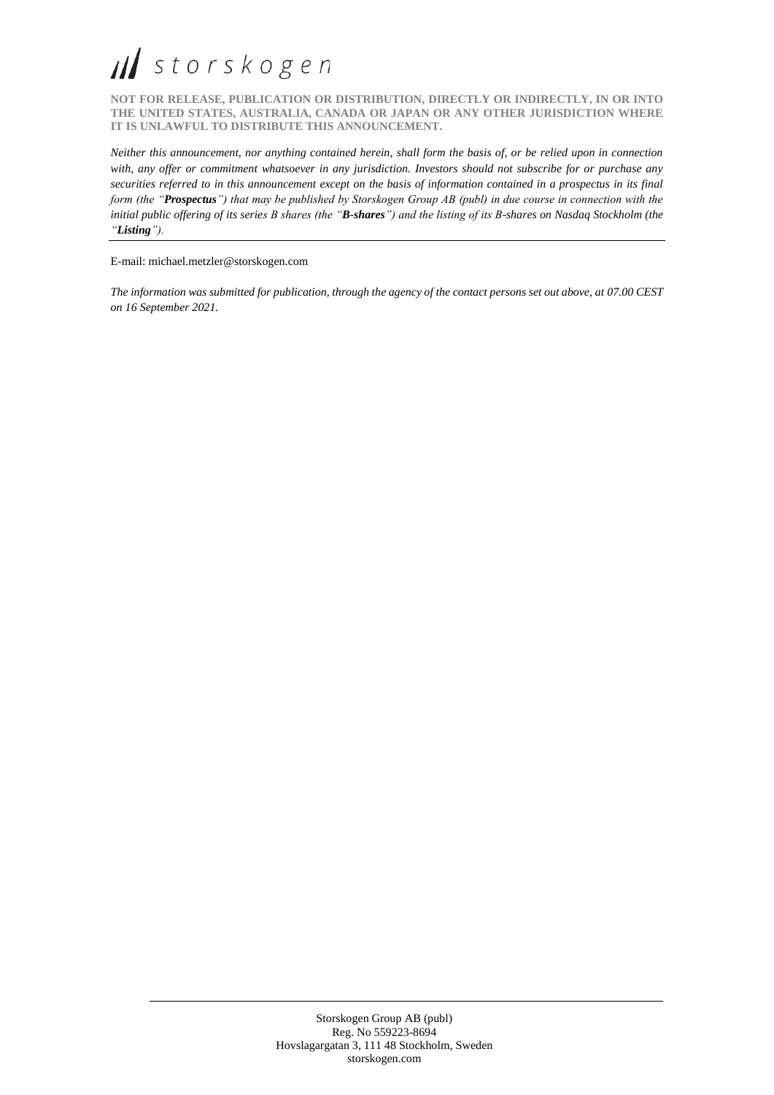# Ill storskogen

**NOT FOR RELEASE, PUBLICATION OR DISTRIBUTION, DIRECTLY OR INDIRECTLY, IN OR INTO THE UNITED STATES, AUSTRALIA, CANADA OR JAPAN OR ANY OTHER JURISDICTION WHERE IT IS UNLAWFUL TO DISTRIBUTE THIS ANNOUNCEMENT.**

*Neither this announcement, nor anything contained herein, shall form the basis of, or be relied upon in connection*  with, any offer or commitment whatsoever in any jurisdiction. Investors should not subscribe for or purchase any *securities referred to in this announcement except on the basis of information contained in a prospectus in its final form (the "Prospectus") that may be published by Storskogen Group AB (publ) in due course in connection with the initial public offering of its series B shares (the "B-shares") and the listing of its B-shares on Nasdaq Stockholm (the "Listing").* 

E-mail: michael.metzler@storskogen.com

*The information was submitted for publication, through the agency of the contact persons set out above, at 07.00 CEST on 16 September 2021.*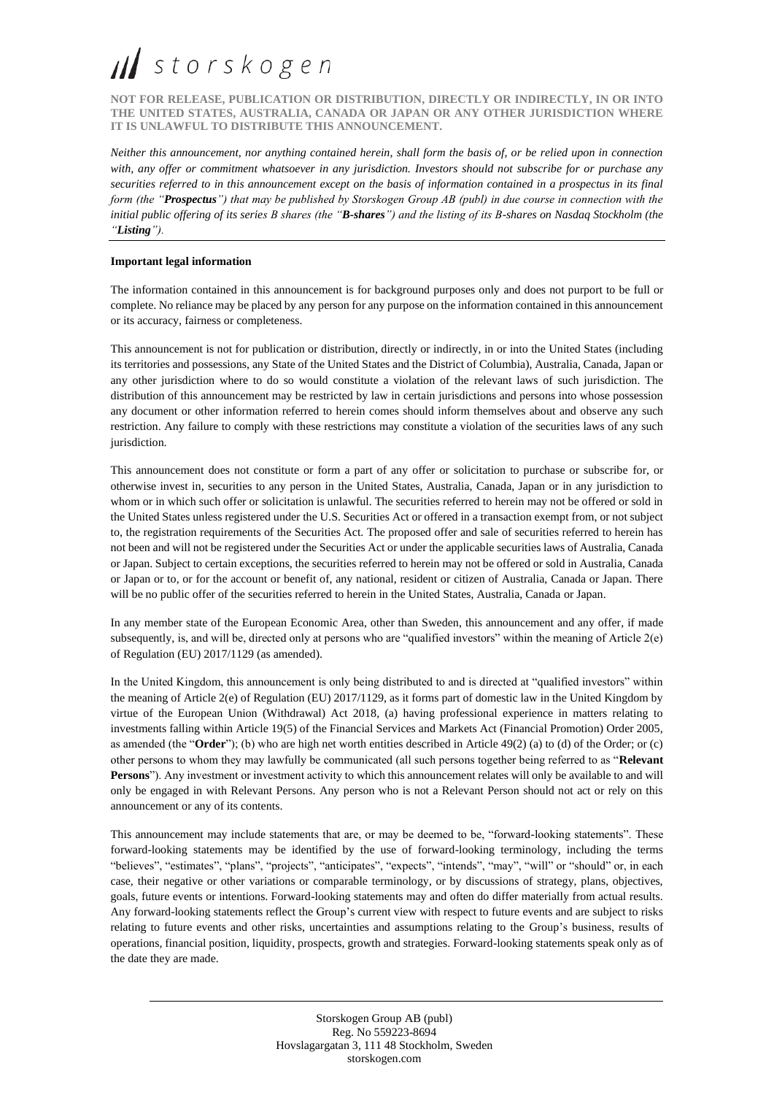**NOT FOR RELEASE, PUBLICATION OR DISTRIBUTION, DIRECTLY OR INDIRECTLY, IN OR INTO THE UNITED STATES, AUSTRALIA, CANADA OR JAPAN OR ANY OTHER JURISDICTION WHERE IT IS UNLAWFUL TO DISTRIBUTE THIS ANNOUNCEMENT.**

*Neither this announcement, nor anything contained herein, shall form the basis of, or be relied upon in connection*  with, any offer or commitment whatsoever in any jurisdiction. Investors should not subscribe for or purchase any *securities referred to in this announcement except on the basis of information contained in a prospectus in its final form (the "Prospectus") that may be published by Storskogen Group AB (publ) in due course in connection with the initial public offering of its series B shares (the "B-shares") and the listing of its B-shares on Nasdaq Stockholm (the "Listing").* 

#### **Important legal information**

The information contained in this announcement is for background purposes only and does not purport to be full or complete. No reliance may be placed by any person for any purpose on the information contained in this announcement or its accuracy, fairness or completeness.

This announcement is not for publication or distribution, directly or indirectly, in or into the United States (including its territories and possessions, any State of the United States and the District of Columbia), Australia, Canada, Japan or any other jurisdiction where to do so would constitute a violation of the relevant laws of such jurisdiction. The distribution of this announcement may be restricted by law in certain jurisdictions and persons into whose possession any document or other information referred to herein comes should inform themselves about and observe any such restriction. Any failure to comply with these restrictions may constitute a violation of the securities laws of any such jurisdiction.

This announcement does not constitute or form a part of any offer or solicitation to purchase or subscribe for, or otherwise invest in, securities to any person in the United States, Australia, Canada, Japan or in any jurisdiction to whom or in which such offer or solicitation is unlawful. The securities referred to herein may not be offered or sold in the United States unless registered under the U.S. Securities Act or offered in a transaction exempt from, or not subject to, the registration requirements of the Securities Act. The proposed offer and sale of securities referred to herein has not been and will not be registered under the Securities Act or under the applicable securities laws of Australia, Canada or Japan. Subject to certain exceptions, the securities referred to herein may not be offered or sold in Australia, Canada or Japan or to, or for the account or benefit of, any national, resident or citizen of Australia, Canada or Japan. There will be no public offer of the securities referred to herein in the United States, Australia, Canada or Japan.

In any member state of the European Economic Area, other than Sweden, this announcement and any offer, if made subsequently, is, and will be, directed only at persons who are "qualified investors" within the meaning of Article 2(e) of Regulation (EU) 2017/1129 (as amended).

In the United Kingdom, this announcement is only being distributed to and is directed at "qualified investors" within the meaning of Article 2(e) of Regulation (EU) 2017/1129, as it forms part of domestic law in the United Kingdom by virtue of the European Union (Withdrawal) Act 2018, (a) having professional experience in matters relating to investments falling within Article 19(5) of the Financial Services and Markets Act (Financial Promotion) Order 2005, as amended (the "**Order**"); (b) who are high net worth entities described in Article 49(2) (a) to (d) of the Order; or (c) other persons to whom they may lawfully be communicated (all such persons together being referred to as "**Relevant Persons**"). Any investment or investment activity to which this announcement relates will only be available to and will only be engaged in with Relevant Persons. Any person who is not a Relevant Person should not act or rely on this announcement or any of its contents.

This announcement may include statements that are, or may be deemed to be, "forward-looking statements". These forward-looking statements may be identified by the use of forward-looking terminology, including the terms "believes", "estimates", "plans", "projects", "anticipates", "expects", "intends", "may", "will" or "should" or, in each case, their negative or other variations or comparable terminology, or by discussions of strategy, plans, objectives, goals, future events or intentions. Forward-looking statements may and often do differ materially from actual results. Any forward-looking statements reflect the Group's current view with respect to future events and are subject to risks relating to future events and other risks, uncertainties and assumptions relating to the Group's business, results of operations, financial position, liquidity, prospects, growth and strategies. Forward-looking statements speak only as of the date they are made.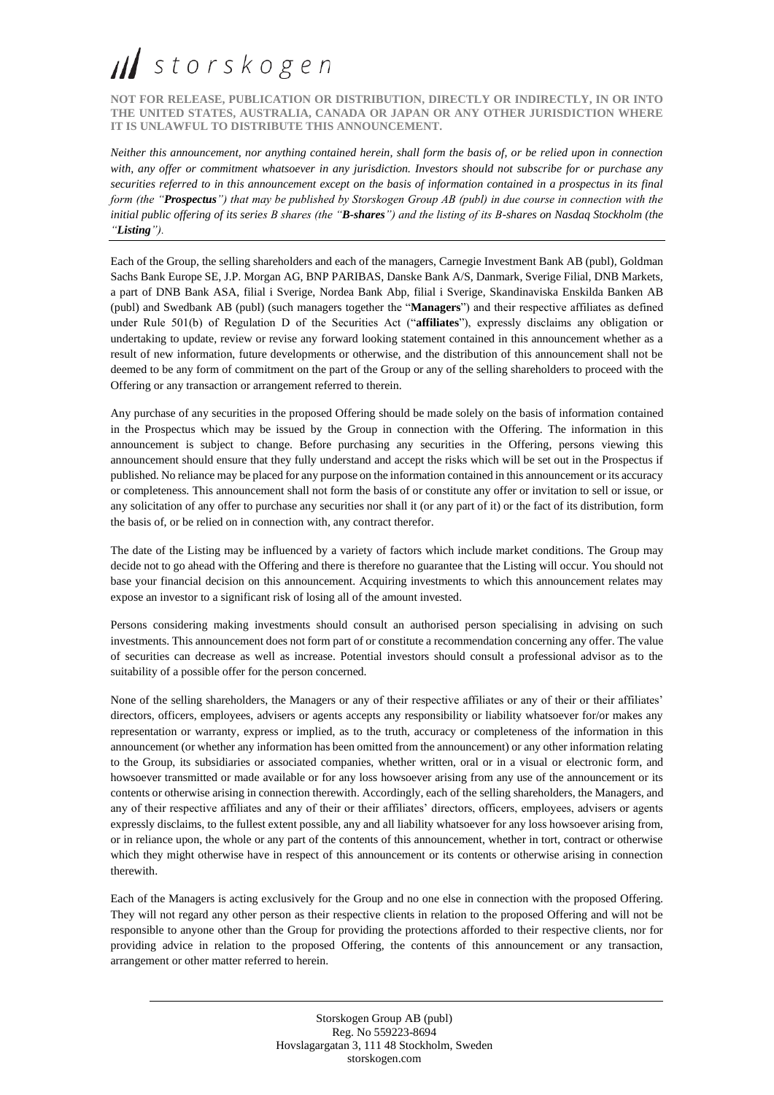**NOT FOR RELEASE, PUBLICATION OR DISTRIBUTION, DIRECTLY OR INDIRECTLY, IN OR INTO THE UNITED STATES, AUSTRALIA, CANADA OR JAPAN OR ANY OTHER JURISDICTION WHERE IT IS UNLAWFUL TO DISTRIBUTE THIS ANNOUNCEMENT.**

*Neither this announcement, nor anything contained herein, shall form the basis of, or be relied upon in connection*  with, any offer or commitment whatsoever in any jurisdiction. Investors should not subscribe for or purchase any *securities referred to in this announcement except on the basis of information contained in a prospectus in its final form (the "Prospectus") that may be published by Storskogen Group AB (publ) in due course in connection with the initial public offering of its series B shares (the "B-shares") and the listing of its B-shares on Nasdaq Stockholm (the "Listing").* 

Each of the Group, the selling shareholders and each of the managers, Carnegie Investment Bank AB (publ), Goldman Sachs Bank Europe SE, J.P. Morgan AG, BNP PARIBAS, Danske Bank A/S, Danmark, Sverige Filial, DNB Markets, a part of DNB Bank ASA, filial i Sverige, Nordea Bank Abp, filial i Sverige, Skandinaviska Enskilda Banken AB (publ) and Swedbank AB (publ) (such managers together the "**Managers**") and their respective affiliates as defined under Rule 501(b) of Regulation D of the Securities Act ("**affiliates**"), expressly disclaims any obligation or undertaking to update, review or revise any forward looking statement contained in this announcement whether as a result of new information, future developments or otherwise, and the distribution of this announcement shall not be deemed to be any form of commitment on the part of the Group or any of the selling shareholders to proceed with the Offering or any transaction or arrangement referred to therein.

Any purchase of any securities in the proposed Offering should be made solely on the basis of information contained in the Prospectus which may be issued by the Group in connection with the Offering. The information in this announcement is subject to change. Before purchasing any securities in the Offering, persons viewing this announcement should ensure that they fully understand and accept the risks which will be set out in the Prospectus if published. No reliance may be placed for any purpose on the information contained in this announcement or its accuracy or completeness. This announcement shall not form the basis of or constitute any offer or invitation to sell or issue, or any solicitation of any offer to purchase any securities nor shall it (or any part of it) or the fact of its distribution, form the basis of, or be relied on in connection with, any contract therefor.

The date of the Listing may be influenced by a variety of factors which include market conditions. The Group may decide not to go ahead with the Offering and there is therefore no guarantee that the Listing will occur. You should not base your financial decision on this announcement. Acquiring investments to which this announcement relates may expose an investor to a significant risk of losing all of the amount invested.

Persons considering making investments should consult an authorised person specialising in advising on such investments. This announcement does not form part of or constitute a recommendation concerning any offer. The value of securities can decrease as well as increase. Potential investors should consult a professional advisor as to the suitability of a possible offer for the person concerned.

None of the selling shareholders, the Managers or any of their respective affiliates or any of their or their affiliates' directors, officers, employees, advisers or agents accepts any responsibility or liability whatsoever for/or makes any representation or warranty, express or implied, as to the truth, accuracy or completeness of the information in this announcement (or whether any information has been omitted from the announcement) or any other information relating to the Group, its subsidiaries or associated companies, whether written, oral or in a visual or electronic form, and howsoever transmitted or made available or for any loss howsoever arising from any use of the announcement or its contents or otherwise arising in connection therewith. Accordingly, each of the selling shareholders, the Managers, and any of their respective affiliates and any of their or their affiliates' directors, officers, employees, advisers or agents expressly disclaims, to the fullest extent possible, any and all liability whatsoever for any loss howsoever arising from, or in reliance upon, the whole or any part of the contents of this announcement, whether in tort, contract or otherwise which they might otherwise have in respect of this announcement or its contents or otherwise arising in connection therewith.

Each of the Managers is acting exclusively for the Group and no one else in connection with the proposed Offering. They will not regard any other person as their respective clients in relation to the proposed Offering and will not be responsible to anyone other than the Group for providing the protections afforded to their respective clients, nor for providing advice in relation to the proposed Offering, the contents of this announcement or any transaction, arrangement or other matter referred to herein.